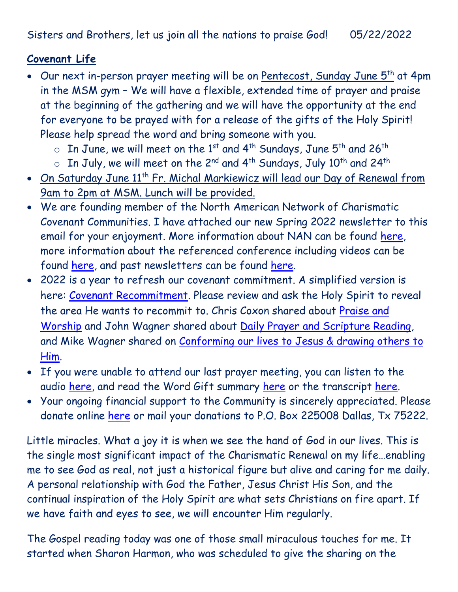Sisters and Brothers, let us join all the nations to praise God! 05/22/2022

## **Covenant Life**

- Our next in-person prayer meeting will be on Pentecost, Sunday June 5<sup>th</sup> at 4pm in the MSM gym – We will have a flexible, extended time of prayer and praise at the beginning of the gathering and we will have the opportunity at the end for everyone to be prayed with for a release of the gifts of the Holy Spirit! Please help spread the word and bring someone with you.
	- $\circ$  In June, we will meet on the 1<sup>st</sup> and 4<sup>th</sup> Sundays, June 5<sup>th</sup> and 26<sup>th</sup>
	- $\circ$  In July, we will meet on the 2<sup>nd</sup> and 4<sup>th</sup> Sundays, July 10<sup>th</sup> and 24<sup>th</sup>
- On Saturday June 11<sup>th</sup> Fr. Michal Markiewicz will lead our Day of Renewal from 9am to 2pm at MSM. Lunch will be provided.
- We are founding member of the North American Network of Charismatic Covenant Communities. I have attached our new Spring 2022 newsletter to this email for your enjoyment. More information about NAN can be found [here,](https://www.nanccc.org/) more information about the referenced conference including videos can be found [here,](https://www.nanccc.org/2022-conference) and past newsletters can be found [here.](https://www.nanccc.org/newsletters)
- 2022 is a year to refresh our covenant commitment. A simplified version is here: [Covenant Recommitment.](https://godsdelight.org/2022-covenant-recommitment) Please review and ask the Holy Spirit to reveal the area He wants to recommit to. Chris Coxon shared about [Praise and](https://godsdelight.s3.us-east-1.amazonaws.com/leaders/audio_video/teachings/PM2022410CoxonSharing.mp3)  [Worship](https://godsdelight.s3.us-east-1.amazonaws.com/leaders/audio_video/teachings/PM2022410CoxonSharing.mp3) and John Wagner shared about [Daily Prayer and Scripture Reading,](https://godsdelight.s3.us-east-1.amazonaws.com/leaders/audio_video/teachings/PM20220424JWagnerSharing.mp3) and Mike Wagner shared on [Conforming our lives to Jesus & drawing others to](https://godsdelight.s3.us-east-1.amazonaws.com/leaders/audio_video/teachings/PM20220515MWagnerSharing.mp3)  [Him.](https://godsdelight.s3.us-east-1.amazonaws.com/leaders/audio_video/teachings/PM20220515MWagnerSharing.mp3)
- If you were unable to attend our last prayer meeting, you can listen to the audio [here,](https://godsdelight.org/gatherings-audio) and read the Word Gift summary [here](https://godsdelight.org/gathering-summaries) or the transcript [here.](https://godsdelight.org/gathering-transcipts)
- Your ongoing financial support to the Community is sincerely appreciated. Please donate online [here](http://www.godsdelight.org/) or mail your donations to P.O. Box 225008 Dallas, Tx 75222.

Little miracles. What a joy it is when we see the hand of God in our lives. This is the single most significant impact of the Charismatic Renewal on my life…enabling me to see God as real, not just a historical figure but alive and caring for me daily. A personal relationship with God the Father, Jesus Christ His Son, and the continual inspiration of the Holy Spirit are what sets Christians on fire apart. If we have faith and eyes to see, we will encounter Him regularly.

The Gospel reading today was one of those small miraculous touches for me. It started when Sharon Harmon, who was scheduled to give the sharing on the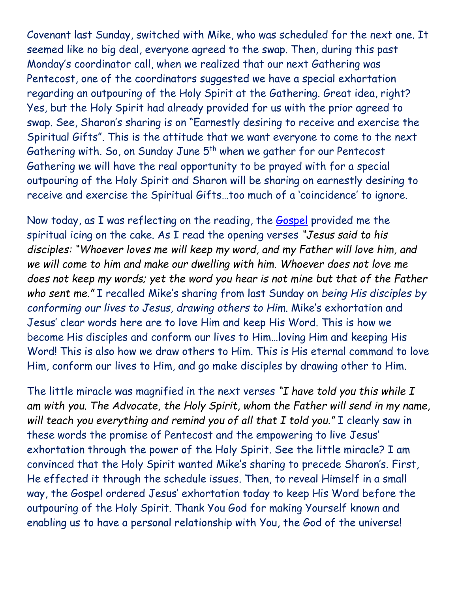Covenant last Sunday, switched with Mike, who was scheduled for the next one. It seemed like no big deal, everyone agreed to the swap. Then, during this past Monday's coordinator call, when we realized that our next Gathering was Pentecost, one of the coordinators suggested we have a special exhortation regarding an outpouring of the Holy Spirit at the Gathering. Great idea, right? Yes, but the Holy Spirit had already provided for us with the prior agreed to swap. See, Sharon's sharing is on "Earnestly desiring to receive and exercise the Spiritual Gifts". This is the attitude that we want everyone to come to the next Gathering with. So, on Sunday June 5<sup>th</sup> when we gather for our Pentecost Gathering we will have the real opportunity to be prayed with for a special outpouring of the Holy Spirit and Sharon will be sharing on earnestly desiring to receive and exercise the Spiritual Gifts…too much of a 'coincidence' to ignore.

Now today, as I was reflecting on the reading, the [Gospel](https://bible.usccb.org/bible/john/14?23) provided me the spiritual icing on the cake. As I read the opening verses *"Jesus said to his disciples: "Whoever loves me will keep my word, and my Father will love him, and we will come to him and make our dwelling with him. Whoever does not love me does not keep my words; yet the word you hear is not mine but that of the Father who sent me."* I recalled Mike's sharing from last Sunday on *being His disciples by conforming our lives to Jesus, drawing others to Him*. Mike's exhortation and Jesus' clear words here are to love Him and keep His Word. This is how we become His disciples and conform our lives to Him…loving Him and keeping His Word! This is also how we draw others to Him. This is His eternal command to love Him, conform our lives to Him, and go make disciples by drawing other to Him.

The little miracle was magnified in the next verses *"I have told you this while I am with you. The Advocate, the Holy Spirit, whom the Father will send in my name, will teach you everything and remind you of all that I told you."* I clearly saw in these words the promise of Pentecost and the empowering to live Jesus' exhortation through the power of the Holy Spirit. See the little miracle? I am convinced that the Holy Spirit wanted Mike's sharing to precede Sharon's. First, He effected it through the schedule issues. Then, to reveal Himself in a small way, the Gospel ordered Jesus' exhortation today to keep His Word before the outpouring of the Holy Spirit. Thank You God for making Yourself known and enabling us to have a personal relationship with You, the God of the universe!